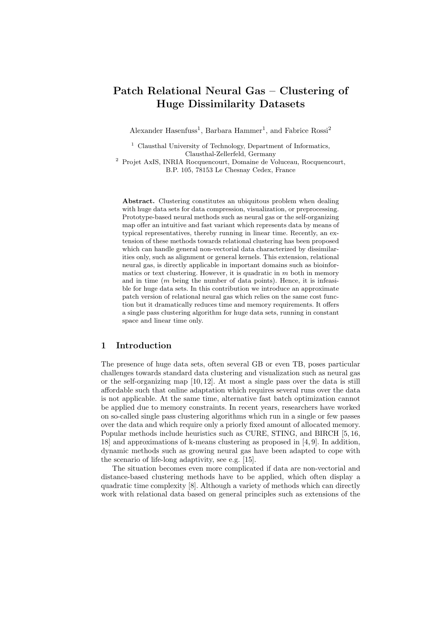# Patch Relational Neural Gas – Clustering of Huge Dissimilarity Datasets

Alexander Hasenfuss<sup>1</sup>, Barbara Hammer<sup>1</sup>, and Fabrice Rossi<sup>2</sup>

<sup>1</sup> Clausthal University of Technology, Department of Informatics, Clausthal-Zellerfeld, Germany

<sup>2</sup> Projet AxIS, INRIA Rocquencourt, Domaine de Voluceau, Rocquencourt, B.P. 105, 78153 Le Chesnay Cedex, France

Abstract. Clustering constitutes an ubiquitous problem when dealing with huge data sets for data compression, visualization, or preprocessing. Prototype-based neural methods such as neural gas or the self-organizing map offer an intuitive and fast variant which represents data by means of typical representatives, thereby running in linear time. Recently, an extension of these methods towards relational clustering has been proposed which can handle general non-vectorial data characterized by dissimilarities only, such as alignment or general kernels. This extension, relational neural gas, is directly applicable in important domains such as bioinformatics or text clustering. However, it is quadratic in  $m$  both in memory and in time  $(m)$  being the number of data points). Hence, it is infeasible for huge data sets. In this contribution we introduce an approximate patch version of relational neural gas which relies on the same cost function but it dramatically reduces time and memory requirements. It offers a single pass clustering algorithm for huge data sets, running in constant space and linear time only.

# 1 Introduction

The presence of huge data sets, often several GB or even TB, poses particular challenges towards standard data clustering and visualization such as neural gas or the self-organizing map [10, 12]. At most a single pass over the data is still affordable such that online adaptation which requires several runs over the data is not applicable. At the same time, alternative fast batch optimization cannot be applied due to memory constraints. In recent years, researchers have worked on so-called single pass clustering algorithms which run in a single or few passes over the data and which require only a priorly fixed amount of allocated memory. Popular methods include heuristics such as CURE, STING, and BIRCH [5, 16, 18] and approximations of k-means clustering as proposed in [4, 9]. In addition, dynamic methods such as growing neural gas have been adapted to cope with the scenario of life-long adaptivity, see e.g. [15].

The situation becomes even more complicated if data are non-vectorial and distance-based clustering methods have to be applied, which often display a quadratic time complexity [8]. Although a variety of methods which can directly work with relational data based on general principles such as extensions of the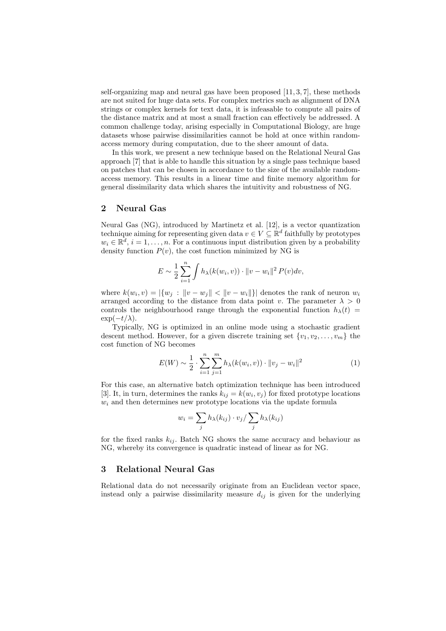self-organizing map and neural gas have been proposed  $[11, 3, 7]$ , these methods are not suited for huge data sets. For complex metrics such as alignment of DNA strings or complex kernels for text data, it is infeasable to compute all pairs of the distance matrix and at most a small fraction can effectively be addressed. A common challenge today, arising especially in Computational Biology, are huge datasets whose pairwise dissimilarities cannot be hold at once within randomaccess memory during computation, due to the sheer amount of data.

In this work, we present a new technique based on the Relational Neural Gas approach [7] that is able to handle this situation by a single pass technique based on patches that can be chosen in accordance to the size of the available randomaccess memory. This results in a linear time and finite memory algorithm for general dissimilarity data which shares the intuitivity and robustness of NG.

# 2 Neural Gas

Neural Gas (NG), introduced by Martinetz et al. [12], is a vector quantization technique aiming for representing given data  $v \in V \subseteq \mathbb{R}^d$  faithfully by prototypes  $w_i \in \mathbb{R}^d$ ,  $i = 1, \ldots, n$ . For a continuous input distribution given by a probability density function  $P(v)$ , the cost function minimized by NG is

$$
E \sim \frac{1}{2} \sum_{i=1}^{n} \int h_{\lambda}(k(w_i, v)) \cdot ||v - w_i||^2 P(v) dv,
$$

where  $k(w_i, v) = |\{w_j : ||v - w_j|| < ||v - w_i||\}|$  denotes the rank of neuron  $w_i$ arranged according to the distance from data point v. The parameter  $\lambda > 0$ controls the neighbourhood range through the exponential function  $h_{\lambda}(t)$  =  $\exp(-t/\lambda)$ .

Typically, NG is optimized in an online mode using a stochastic gradient descent method. However, for a given discrete training set  $\{v_1, v_2, \ldots, v_m\}$  the cost function of NG becomes

$$
E(W) \sim \frac{1}{2} \cdot \sum_{i=1}^{n} \sum_{j=1}^{m} h_{\lambda}(k(w_i, v)) \cdot ||v_j - w_i||^2
$$
 (1)

For this case, an alternative batch optimization technique has been introduced [3]. It, in turn, determines the ranks  $k_{ij} = k(w_i, v_j)$  for fixed prototype locations  $w<sub>i</sub>$  and then determines new prototype locations via the update formula

$$
w_i = \sum_j h_\lambda(k_{ij}) \cdot v_j / \sum_j h_\lambda(k_{ij})
$$

for the fixed ranks  $k_{ij}$ . Batch NG shows the same accuracy and behaviour as NG, whereby its convergence is quadratic instead of linear as for NG.

## 3 Relational Neural Gas

Relational data do not necessarily originate from an Euclidean vector space, instead only a pairwise dissimilarity measure  $d_{ij}$  is given for the underlying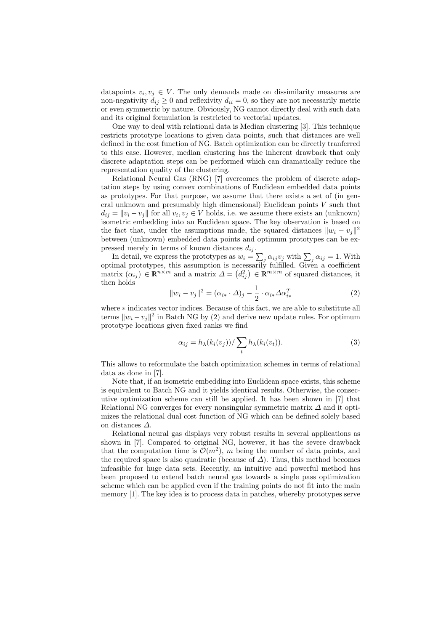datapoints  $v_i, v_j \in V$ . The only demands made on dissimilarity measures are non-negativity  $d_{ij} \geq 0$  and reflexivity  $d_{ii} = 0$ , so they are not necessarily metric or even symmetric by nature. Obviously, NG cannot directly deal with such data and its original formulation is restricted to vectorial updates.

One way to deal with relational data is Median clustering [3]. This technique restricts prototype locations to given data points, such that distances are well defined in the cost function of NG. Batch optimization can be directly tranferred to this case. However, median clustering has the inherent drawback that only discrete adaptation steps can be performed which can dramatically reduce the representation quality of the clustering.

Relational Neural Gas (RNG) [7] overcomes the problem of discrete adaptation steps by using convex combinations of Euclidean embedded data points as prototypes. For that purpose, we assume that there exists a set of (in general unknown and presumably high dimensional) Euclidean points  $V$  such that  $d_{ij} = ||v_i - v_j||$  for all  $v_i, v_j \in V$  holds, i.e. we assume there exists an (unknown) isometric embedding into an Euclidean space. The key observation is based on the fact that, under the assumptions made, the squared distances  $||w_i - v_j||^2$ between (unknown) embedded data points and optimum prototypes can be expressed merely in terms of known distances  $d_{ij}$ .

In detail, we express the prototypes as  $w_i = \sum_j \alpha_{ij} v_j$  with  $\sum_j \alpha_{ij} = 1$ . With optimal prototypes, this assumption is necessarily fulfilled. Given a coefficient matrix  $(\alpha_{ij}) \in \mathbb{R}^{n \times m}$  and a matrix  $\Delta = (d_{ij}^2) \in \mathbb{R}^{m \times m}$  of squared distances, it then holds

$$
||w_i - v_j||^2 = (\alpha_{i*} \cdot \Delta)_j - \frac{1}{2} \cdot \alpha_{i*} \Delta \alpha_{i*}^T
$$
\n(2)

where ∗ indicates vector indices. Because of this fact, we are able to substitute all terms  $||w_i - v_j||^2$  in Batch NG by (2) and derive new update rules. For optimum prototype locations given fixed ranks we find

$$
\alpha_{ij} = h_{\lambda}(k_i(v_j)) / \sum_t h_{\lambda}(k_i(v_t)). \tag{3}
$$

This allows to reformulate the batch optimization schemes in terms of relational data as done in [7].

Note that, if an isometric embedding into Euclidean space exists, this scheme is equivalent to Batch NG and it yields identical results. Otherwise, the consecutive optimization scheme can still be applied. It has been shown in [7] that Relational NG converges for every nonsingular symmetric matrix  $\Delta$  and it optimizes the relational dual cost function of NG which can be defined solely based on distances ∆.

Relational neural gas displays very robust results in several applications as shown in [7]. Compared to original NG, however, it has the severe drawback that the computation time is  $\mathcal{O}(m^2)$ , m being the number of data points, and the required space is also quadratic (because of  $\Delta$ ). Thus, this method becomes infeasible for huge data sets. Recently, an intuitive and powerful method has been proposed to extend batch neural gas towards a single pass optimization scheme which can be applied even if the training points do not fit into the main memory [1]. The key idea is to process data in patches, whereby prototypes serve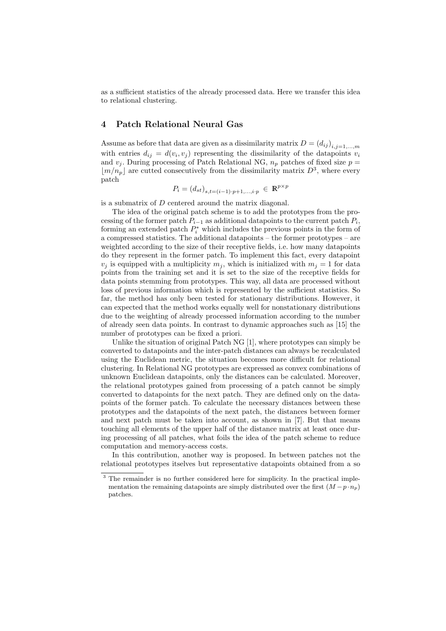as a sufficient statistics of the already processed data. Here we transfer this idea to relational clustering.

# 4 Patch Relational Neural Gas

Assume as before that data are given as a dissimilarity matrix  $D = (d_{ij})_{i,j=1,...,m}$ with entries  $d_{ij} = d(v_i, v_j)$  representing the dissimilarity of the datapoints  $v_i$ and  $v_i$ . During processing of Patch Relational NG,  $n_p$  patches of fixed size  $p =$  $\lfloor m/n_p \rfloor$  are cutted consecutively from the dissimilarity matrix  $D^3$ , where every patch

$$
P_i = (d_{st})_{s,t=(i-1)\cdot p+1,...,i\cdot p} \in \mathbb{R}^{p \times p}
$$

is a submatrix of D centered around the matrix diagonal.

The idea of the original patch scheme is to add the prototypes from the processing of the former patch  $P_{i-1}$  as additional datapoints to the current patch  $P_i$ , forming an extended patch  $P_i^*$  which includes the previous points in the form of a compressed statistics. The additional datapoints – the former prototypes – are weighted according to the size of their receptive fields, i.e. how many datapoints do they represent in the former patch. To implement this fact, every datapoint  $v_j$  is equipped with a multiplicity  $m_j$ , which is initialized with  $m_j = 1$  for data points from the training set and it is set to the size of the receptive fields for data points stemming from prototypes. This way, all data are processed without loss of previous information which is represented by the sufficient statistics. So far, the method has only been tested for stationary distributions. However, it can expected that the method works equally well for nonstationary distributions due to the weighting of already processed information according to the number of already seen data points. In contrast to dynamic approaches such as [15] the number of prototypes can be fixed a priori.

Unlike the situation of original Patch NG [1], where prototypes can simply be converted to datapoints and the inter-patch distances can always be recalculated using the Euclidean metric, the situation becomes more difficult for relational clustering. In Relational NG prototypes are expressed as convex combinations of unknown Euclidean datapoints, only the distances can be calculated. Moreover, the relational prototypes gained from processing of a patch cannot be simply converted to datapoints for the next patch. They are defined only on the datapoints of the former patch. To calculate the necessary distances between these prototypes and the datapoints of the next patch, the distances between former and next patch must be taken into account, as shown in [7]. But that means touching all elements of the upper half of the distance matrix at least once during processing of all patches, what foils the idea of the patch scheme to reduce computation and memory-access costs.

In this contribution, another way is proposed. In between patches not the relational prototypes itselves but representative datapoints obtained from a so

<sup>&</sup>lt;sup>3</sup> The remainder is no further considered here for simplicity. In the practical implementation the remaining datapoints are simply distributed over the first  $(M - p \cdot n_p)$ patches.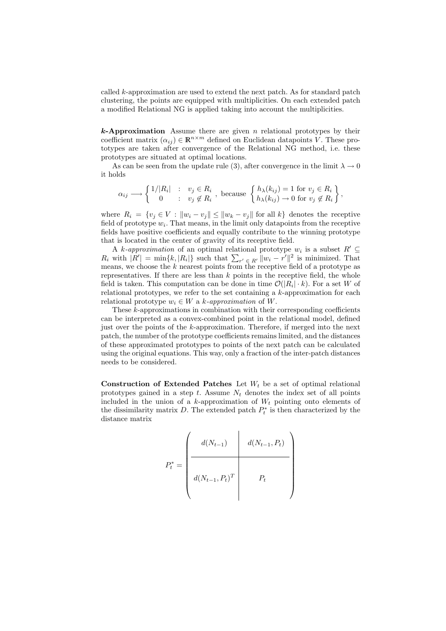called k-approximation are used to extend the next patch. As for standard patch clustering, the points are equipped with multiplicities. On each extended patch a modified Relational NG is applied taking into account the multiplicities.

**k-Approximation** Assume there are given n relational prototypes by their coefficient matrix  $(\alpha_{ij}) \in \mathbb{R}^{n \times m}$  defined on Euclidean datapoints V. These prototypes are taken after convergence of the Relational NG method, i.e. these prototypes are situated at optimal locations.

As can be seen from the update rule (3), after convergence in the limit  $\lambda \to 0$ it holds

$$
\alpha_{ij} \longrightarrow \left\{ \begin{array}{ll} 1/|R_i| & : & v_j \in R_i \\ 0 & : & v_j \notin R_i \end{array} \right., \text{ because } \left\{ \begin{array}{ll} h_\lambda(k_{ij}) = 1 \text{ for } v_j \in R_i \\ h_\lambda(k_{ij}) \rightarrow 0 \text{ for } v_j \notin R_i \end{array} \right\},
$$

where  $R_i = \{v_j \in V : ||w_i - v_j|| \le ||w_k - v_j||$  for all k} denotes the receptive field of prototype  $w_i$ . That means, in the limit only datapoints from the receptive fields have positive coefficients and equally contribute to the winning prototype that is located in the center of gravity of its receptive field.

A k-approximation of an optimal relational prototype  $w_i$  is a subset  $R' \subseteq$  $R_i$  with  $|\overline{R'}| = \min\{k, |R_i|\}$  such that  $\sum_{r' \in R'} ||w_i - r'||^2$  is minimized. That means, we choose the  $k$  nearest points from the receptive field of a prototype as representatives. If there are less than  $k$  points in the receptive field, the whole field is taken. This computation can be done in time  $\mathcal{O}(|R_i| \cdot k)$ . For a set W of relational prototypes, we refer to the set containing a  $k$ -approximation for each relational prototype  $w_i \in W$  a k-approximation of W.

These k-approximations in combination with their corresponding coefficients can be interpreted as a convex-combined point in the relational model, defined just over the points of the k-approximation. Therefore, if merged into the next patch, the number of the prototype coefficients remains limited, and the distances of these approximated prototypes to points of the next patch can be calculated using the original equations. This way, only a fraction of the inter-patch distances needs to be considered.

Construction of Extended Patches Let  $W_t$  be a set of optimal relational prototypes gained in a step t. Assume  $N_t$  denotes the index set of all points included in the union of a k-approximation of  $W_t$  pointing onto elements of the dissimilarity matrix  $D$ . The extended patch  $P_t^*$  is then characterized by the distance matrix

$$
P_t^* = \begin{pmatrix} d(N_{t-1}) & d(N_{t-1}, P_t) \\ \hline \\ d(N_{t-1}, P_t)^T & P_t \end{pmatrix}
$$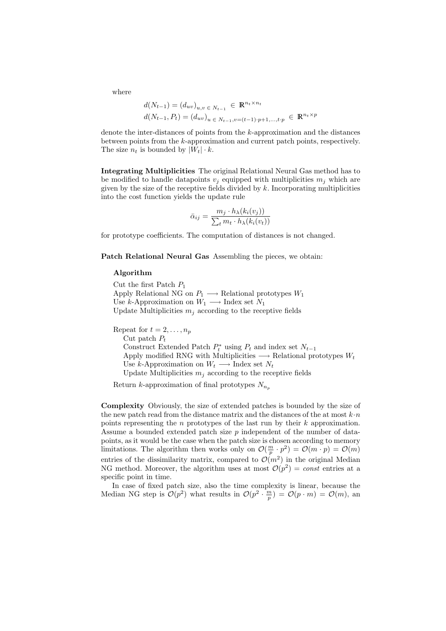where

$$
d(N_{t-1}) = (d_{uv})_{u,v \in N_{t-1}} \in \mathbb{R}^{n_t \times n_t}
$$
  

$$
d(N_{t-1}, P_t) = (d_{uv})_{u \in N_{t-1}, v = (t-1) \cdot p + 1, ..., t \cdot p} \in \mathbb{R}^{n_t \times p}
$$

denote the inter-distances of points from the k-approximation and the distances between points from the k-approximation and current patch points, respectively. The size  $n_t$  is bounded by  $|W_t| \cdot k$ .

Integrating Multiplicities The original Relational Neural Gas method has to be modified to handle datapoints  $v_i$  equipped with multiplicities  $m_i$  which are given by the size of the receptive fields divided by  $k$ . Incorporating multiplicities into the cost function yields the update rule

$$
\bar{\alpha}_{ij} = \frac{m_j \cdot h_{\lambda}(k_i(v_j))}{\sum_t m_t \cdot h_{\lambda}(k_i(v_t))}
$$

for prototype coefficients. The computation of distances is not changed.

Patch Relational Neural Gas Assembling the pieces, we obtain:

#### Algorithm

Cut the first Patch  $P_1$ Apply Relational NG on  $P_1 \longrightarrow$  Relational prototypes  $W_1$ Use k-Approximation on  $W_1 \longrightarrow \text{Index set } N_1$ Update Multiplicities  $m_i$  according to the receptive fields

Repeat for  $t = 2, \ldots, n_p$ Cut patch  $P_t$ Construct Extended Patch  $P_t^*$  using  $P_t$  and index set  $N_{t-1}$ Apply modified RNG with Multiplicities  $\longrightarrow$  Relational prototypes  $W_t$ Use k-Approximation on  $W_t \longrightarrow \text{Index set } N_t$ Update Multiplicities  $m_i$  according to the receptive fields

Return k-approximation of final prototypes  $N_{n_p}$ 

Complexity Obviously, the size of extended patches is bounded by the size of the new patch read from the distance matrix and the distances of the at most  $k \cdot n$ points representing the  $n$  prototypes of the last run by their  $k$  approximation. Assume a bounded extended patch size  $p$  independent of the number of datapoints, as it would be the case when the patch size is chosen according to memory limitations. The algorithm then works only on  $\mathcal{O}(\frac{m}{p} \cdot p^2) = \mathcal{O}(m \cdot p) = \mathcal{O}(m)$ entries of the dissimilarity matrix, compared to  $\mathcal{O}(m^2)$  in the original Median NG method. Moreover, the algorithm uses at most  $\mathcal{O}(p^2) = const$  entries at a specific point in time.

In case of fixed patch size, also the time complexity is linear, because the Median NG step is  $\mathcal{O}(p^2)$  what results in  $\mathcal{O}(p^2 \cdot \frac{m}{p}) = \mathcal{O}(p \cdot m) = \mathcal{O}(m)$ , and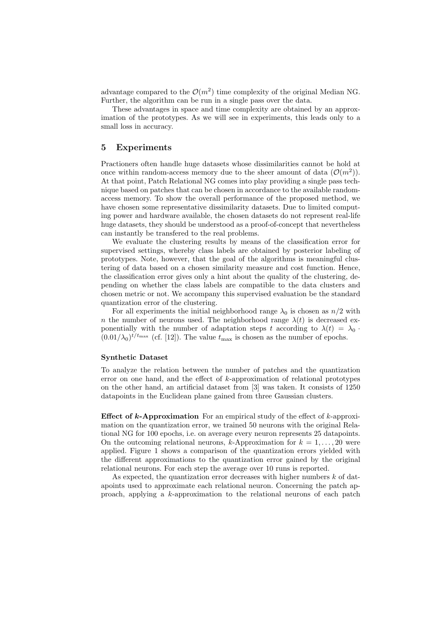advantage compared to the  $\mathcal{O}(m^2)$  time complexity of the original Median NG. Further, the algorithm can be run in a single pass over the data.

These advantages in space and time complexity are obtained by an approximation of the prototypes. As we will see in experiments, this leads only to a small loss in accuracy.

# 5 Experiments

Practioners often handle huge datasets whose dissimilarities cannot be hold at once within random-access memory due to the sheer amount of data  $(\mathcal{O}(m^2))$ . At that point, Patch Relational NG comes into play providing a single pass technique based on patches that can be chosen in accordance to the available randomaccess memory. To show the overall performance of the proposed method, we have chosen some representative dissimilarity datasets. Due to limited computing power and hardware available, the chosen datasets do not represent real-life huge datasets, they should be understood as a proof-of-concept that nevertheless can instantly be transfered to the real problems.

We evaluate the clustering results by means of the classification error for supervised settings, whereby class labels are obtained by posterior labeling of prototypes. Note, however, that the goal of the algorithms is meaningful clustering of data based on a chosen similarity measure and cost function. Hence, the classification error gives only a hint about the quality of the clustering, depending on whether the class labels are compatible to the data clusters and chosen metric or not. We accompany this supervised evaluation be the standard quantization error of the clustering.

For all experiments the initial neighborhood range  $\lambda_0$  is chosen as  $n/2$  with n the number of neurons used. The neighborhood range  $\lambda(t)$  is decreased exponentially with the number of adaptation steps t according to  $\lambda(t) = \lambda_0$ .  $(0.01/\lambda_0)^{t/t_{\text{max}}}$  (cf. [12]). The value  $t_{\text{max}}$  is chosen as the number of epochs.

## Synthetic Dataset

To analyze the relation between the number of patches and the quantization error on one hand, and the effect of k-approximation of relational prototypes on the other hand, an artificial dataset from [3] was taken. It consists of 1250 datapoints in the Euclidean plane gained from three Gaussian clusters.

**Effect of k-Approximation** For an empirical study of the effect of k-approximation on the quantization error, we trained 50 neurons with the original Relational NG for 100 epochs, i.e. on average every neuron represents 25 datapoints. On the outcoming relational neurons, k-Approximation for  $k = 1, \ldots, 20$  were applied. Figure 1 shows a comparison of the quantization errors yielded with the different approximations to the quantization error gained by the original relational neurons. For each step the average over 10 runs is reported.

As expected, the quantization error decreases with higher numbers  $k$  of datapoints used to approximate each relational neuron. Concerning the patch approach, applying a k-approximation to the relational neurons of each patch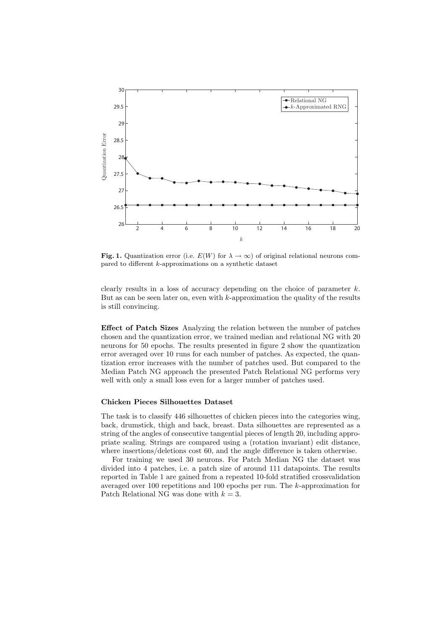

**Fig. 1.** Quantization error (i.e.  $E(W)$  for  $\lambda \to \infty$ ) of original relational neurons compared to different k-approximations on a synthetic dataset

clearly results in a loss of accuracy depending on the choice of parameter  $k$ . But as can be seen later on, even with  $k$ -approximation the quality of the results is still convincing.

Effect of Patch Sizes Analyzing the relation between the number of patches chosen and the quantization error, we trained median and relational NG with 20 neurons for 50 epochs. The results presented in figure 2 show the quantization error averaged over 10 runs for each number of patches. As expected, the quantization error increases with the number of patches used. But compared to the Median Patch NG approach the presented Patch Relational NG performs very well with only a small loss even for a larger number of patches used.

### Chicken Pieces Silhouettes Dataset

The task is to classify 446 silhouettes of chicken pieces into the categories wing, back, drumstick, thigh and back, breast. Data silhouettes are represented as a string of the angles of consecutive tangential pieces of length 20, including appropriate scaling. Strings are compared using a (rotation invariant) edit distance, where insertions/deletions cost 60, and the angle difference is taken otherwise.

For training we used 30 neurons. For Patch Median NG the dataset was divided into 4 patches, i.e. a patch size of around 111 datapoints. The results reported in Table 1 are gained from a repeated 10-fold stratified crossvalidation averaged over 100 repetitions and 100 epochs per run. The k-approximation for Patch Relational NG was done with  $k = 3$ .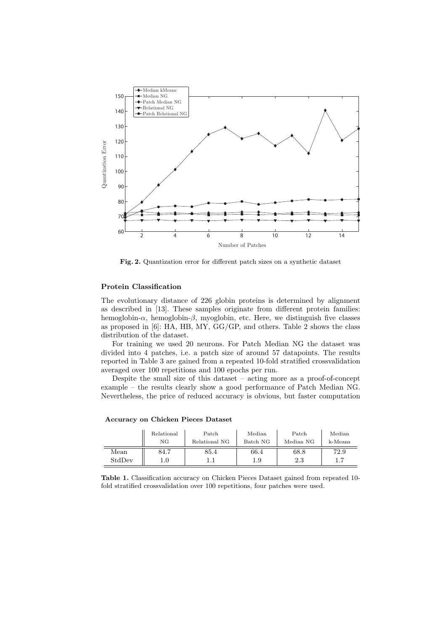

Fig. 2. Quantization error for different patch sizes on a synthetic dataset

## Protein Classification

The evolutionary distance of 226 globin proteins is determined by alignment as described in [13]. These samples originate from different protein families: hemoglobin- $\alpha$ , hemoglobin- $\beta$ , myoglobin, etc. Here, we distinguish five classes as proposed in [6]: HA, HB, MY, GG/GP, and others. Table 2 shows the class distribution of the dataset.

For training we used 20 neurons. For Patch Median NG the dataset was divided into 4 patches, i.e. a patch size of around 57 datapoints. The results reported in Table 3 are gained from a repeated 10-fold stratified crossvalidation averaged over 100 repetitions and 100 epochs per run.

Despite the small size of this dataset – acting more as a proof-of-concept example – the results clearly show a good performance of Patch Median NG. Nevertheless, the price of reduced accuracy is obvious, but faster computation

|                | Relational  | Patch         | Median      | Patch       | Median             |
|----------------|-------------|---------------|-------------|-------------|--------------------|
|                | ΝG          | Relational NG | Batch NG    | Median NG   | $k$ -Means         |
| Mean<br>StdDev | 84.7<br>1.0 | 85.4          | 66.4<br>1.9 | 68.8<br>2.3 | 72.9<br>17<br>1. I |

Accuracy on Chicken Pieces Dataset

Table 1. Classification accuracy on Chicken Pieces Dataset gained from repeated 10 fold stratified crossvalidation over 100 repetitions, four patches were used.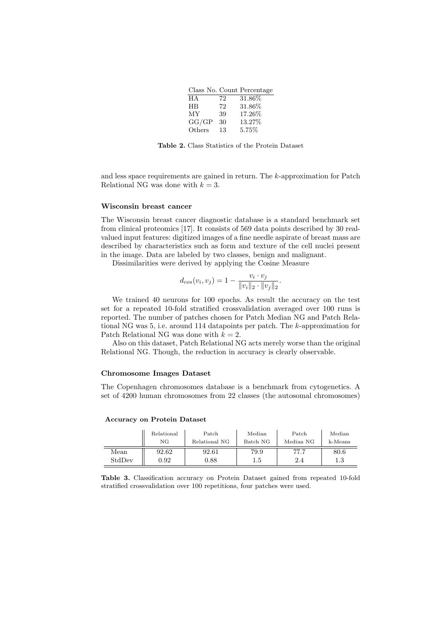|           |    | Class No. Count Percentage |
|-----------|----|----------------------------|
| <b>HA</b> | 72 | 31.86%                     |
| <b>HB</b> | 72 | 31.86%                     |
| MY        | 39 | 17.26%                     |
| GG/GP     | 30 | 13.27%                     |
| Others    | 13 | 5.75%                      |

Table 2. Class Statistics of the Protein Dataset

and less space requirements are gained in return. The k-approximation for Patch Relational NG was done with  $k = 3$ .

#### Wisconsin breast cancer

The Wisconsin breast cancer diagnostic database is a standard benchmark set from clinical proteomics [17]. It consists of 569 data points described by 30 realvalued input features: digitized images of a fine needle aspirate of breast mass are described by characteristics such as form and texture of the cell nuclei present in the image. Data are labeled by two classes, benign and malignant.

Dissimilarities were derived by applying the Cosine Measure

$$
d_{cos}(v_i, v_j) = 1 - \frac{v_i \cdot v_j}{\|v_i\|_2 \cdot \|v_j\|_2}.
$$

We trained 40 neurons for 100 epochs. As result the accuracy on the test set for a repeated 10-fold stratified crossvalidation averaged over 100 runs is reported. The number of patches chosen for Patch Median NG and Patch Relational NG was 5, i.e. around 114 datapoints per patch. The k-approximation for Patch Relational NG was done with  $k = 2$ .

Also on this dataset, Patch Relational NG acts merely worse than the original Relational NG. Though, the reduction in accuracy is clearly observable.

#### Chromosome Images Dataset

The Copenhagen chromosomes database is a benchmark from cytogenetics. A set of 4200 human chromosomes from 22 classes (the autosomal chromosomes)

|        | Relational | Patch         | Median   | Patch     | Median  |
|--------|------------|---------------|----------|-----------|---------|
|        | ΝG         | Relational NG | Batch NG | Median NG | k-Means |
| Mean   | 92.62      | 92.61         | 79.9     | 77.7      | 80.6    |
| StdDev | 0.92       | 0.88          | 1.5      | 2.4       | $1.3\,$ |

Accuracy on Protein Dataset

Table 3. Classification accuracy on Protein Dataset gained from repeated 10-fold stratified crossvalidation over 100 repetitions, four patches were used.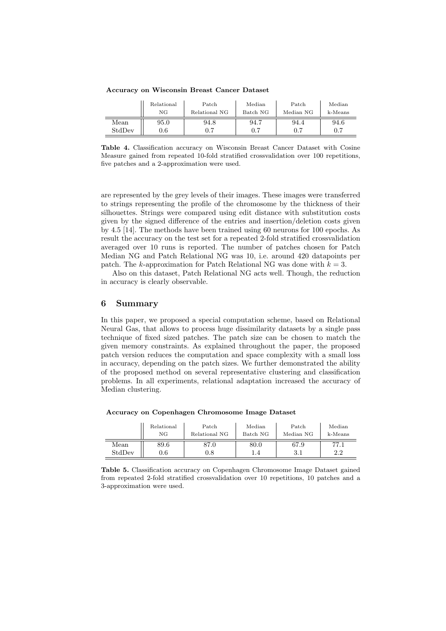Accuracy on Wisconsin Breast Cancer Dataset

|        | Relational | Patch         | Median   | Patch     | Median  |
|--------|------------|---------------|----------|-----------|---------|
|        | ΝG         | Relational NG | Batch NG | Median NG | k-Means |
| Mean   | 95.0       | 94.8          | 94.7     | 94.4      | 94.6    |
| StdDev | $0.6\,$    | 0.7           | 0.7      | 0.7       | 0.7     |

Table 4. Classification accuracy on Wisconsin Breast Cancer Dataset with Cosine Measure gained from repeated 10-fold stratified crossvalidation over 100 repetitions, five patches and a 2-approximation were used.

are represented by the grey levels of their images. These images were transferred to strings representing the profile of the chromosome by the thickness of their silhouettes. Strings were compared using edit distance with substitution costs given by the signed difference of the entries and insertion/deletion costs given by 4.5 [14]. The methods have been trained using 60 neurons for 100 epochs. As result the accuracy on the test set for a repeated 2-fold stratified crossvalidation averaged over 10 runs is reported. The number of patches chosen for Patch Median NG and Patch Relational NG was 10, i.e. around 420 datapoints per patch. The k-approximation for Patch Relational NG was done with  $k = 3$ .

Also on this dataset, Patch Relational NG acts well. Though, the reduction in accuracy is clearly observable.

## 6 Summary

In this paper, we proposed a special computation scheme, based on Relational Neural Gas, that allows to process huge dissimilarity datasets by a single pass technique of fixed sized patches. The patch size can be chosen to match the given memory constraints. As explained throughout the paper, the proposed patch version reduces the computation and space complexity with a small loss in accuracy, depending on the patch sizes. We further demonstrated the ability of the proposed method on several representative clustering and classification problems. In all experiments, relational adaptation increased the accuracy of Median clustering.

Accuracy on Copenhagen Chromosome Image Dataset

|        | Relational | Patch         | Median   | Patch     | Median  |
|--------|------------|---------------|----------|-----------|---------|
|        | ΝG         | Relational NG | Batch NG | Median NG | k-Means |
| Mean   | 89.6       | 87.0          | 80.0     | 67.9      | 77.1    |
| StdDev | $0.6\,$    | $\rm 0.8$     |          | 3.1       | 2.2     |

Table 5. Classification accuracy on Copenhagen Chromosome Image Dataset gained from repeated 2-fold stratified crossvalidation over 10 repetitions, 10 patches and a 3-approximation were used.